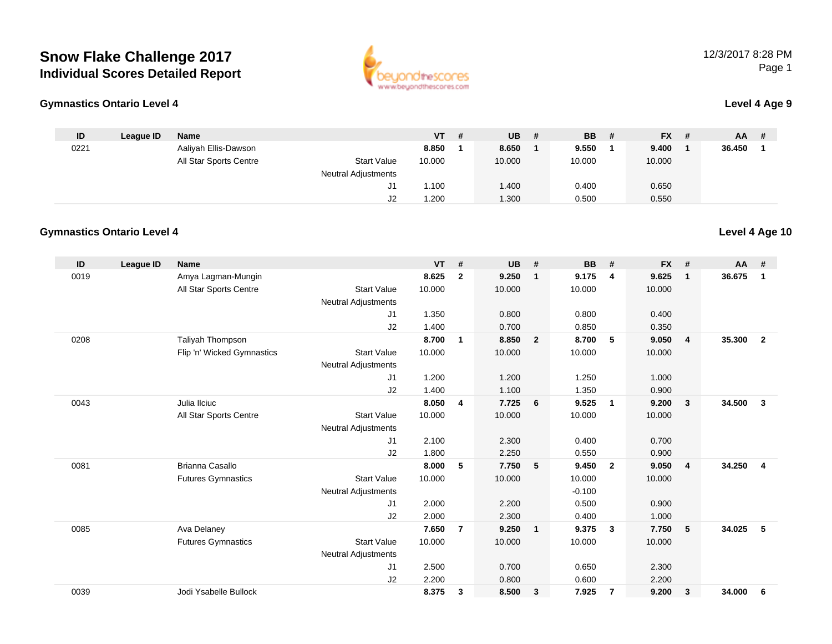

### **Gymnastics Ontario Level 4**

|  | Level 4 Age 9 |
|--|---------------|
|--|---------------|

| ID   | League ID | Name                   |                            | $VT$ # | <b>UB</b>   | - # | <b>BB</b> | - # | <b>FX</b> | -# | <b>AA</b> | # |
|------|-----------|------------------------|----------------------------|--------|-------------|-----|-----------|-----|-----------|----|-----------|---|
| 0221 |           | Aaliyah Ellis-Dawson   |                            | 8.850  | 8.650       |     | 9.550     |     | 9.400     |    | 36.450    |   |
|      |           | All Star Sports Centre | <b>Start Value</b>         | 10.000 | 10.000      |     | 10.000    |     | 10.000    |    |           |   |
|      |           |                        | <b>Neutral Adjustments</b> |        |             |     |           |     |           |    |           |   |
|      |           |                        | J1                         | 1.100  | <b>.400</b> |     | 0.400     |     | 0.650     |    |           |   |
|      |           |                        | J2                         | .200   | 1.300       |     | 0.500     |     | 0.550     |    |           |   |

#### **Gymnastics Ontario Level 4Level 4 Age 10**

| ID   | League ID | <b>Name</b>                |                            | <b>VT</b> | #               | <b>UB</b> | #                       | <b>BB</b> | #              | <b>FX</b> | #            | $AA$ # |                |
|------|-----------|----------------------------|----------------------------|-----------|-----------------|-----------|-------------------------|-----------|----------------|-----------|--------------|--------|----------------|
| 0019 |           | Amya Lagman-Mungin         |                            | 8.625     | $\mathbf{2}$    | 9.250     | $\mathbf 1$             | 9.175     | $\overline{4}$ | 9.625     | $\mathbf{1}$ | 36.675 | $\mathbf{1}$   |
|      |           | All Star Sports Centre     | <b>Start Value</b>         | 10.000    |                 | 10.000    |                         | 10.000    |                | 10.000    |              |        |                |
|      |           |                            | <b>Neutral Adjustments</b> |           |                 |           |                         |           |                |           |              |        |                |
|      |           |                            | J1                         | 1.350     |                 | 0.800     |                         | 0.800     |                | 0.400     |              |        |                |
|      |           |                            | J2                         | 1.400     |                 | 0.700     |                         | 0.850     |                | 0.350     |              |        |                |
| 0208 |           | Taliyah Thompson           |                            | 8.700     | $\overline{1}$  | 8.850     | $\overline{\mathbf{2}}$ | 8.700     | 5              | 9.050     | 4            | 35.300 | $\overline{2}$ |
|      |           | Flip 'n' Wicked Gymnastics | <b>Start Value</b>         | 10.000    |                 | 10.000    |                         | 10.000    |                | 10.000    |              |        |                |
|      |           |                            | <b>Neutral Adjustments</b> |           |                 |           |                         |           |                |           |              |        |                |
|      |           |                            | J <sub>1</sub>             | 1.200     |                 | 1.200     |                         | 1.250     |                | 1.000     |              |        |                |
|      |           |                            | J2                         | 1.400     |                 | 1.100     |                         | 1.350     |                | 0.900     |              |        |                |
| 0043 |           | Julia Ilciuc               |                            | 8.050     | 4               | 7.725     | 6                       | 9.525     | $\mathbf{1}$   | 9.200     | 3            | 34.500 | 3              |
|      |           | All Star Sports Centre     | <b>Start Value</b>         | 10.000    |                 | 10.000    |                         | 10.000    |                | 10.000    |              |        |                |
|      |           |                            | <b>Neutral Adjustments</b> |           |                 |           |                         |           |                |           |              |        |                |
|      |           |                            | J1                         | 2.100     |                 | 2.300     |                         | 0.400     |                | 0.700     |              |        |                |
|      |           |                            | J2                         | 1.800     |                 | 2.250     |                         | 0.550     |                | 0.900     |              |        |                |
| 0081 |           | Brianna Casallo            |                            | 8.000     | $5\phantom{.0}$ | 7.750     | 5                       | 9.450     | $\overline{2}$ | 9.050     | 4            | 34.250 | 4              |
|      |           | <b>Futures Gymnastics</b>  | <b>Start Value</b>         | 10.000    |                 | 10.000    |                         | 10.000    |                | 10.000    |              |        |                |
|      |           |                            | <b>Neutral Adjustments</b> |           |                 |           |                         | $-0.100$  |                |           |              |        |                |
|      |           |                            | J <sub>1</sub>             | 2.000     |                 | 2.200     |                         | 0.500     |                | 0.900     |              |        |                |
|      |           |                            | J2                         | 2.000     |                 | 2.300     |                         | 0.400     |                | 1.000     |              |        |                |
| 0085 |           | Ava Delaney                |                            | 7.650     | $\overline{7}$  | 9.250     | $\overline{1}$          | 9.375     | 3              | 7.750     | 5            | 34.025 | 5              |
|      |           | <b>Futures Gymnastics</b>  | <b>Start Value</b>         | 10.000    |                 | 10.000    |                         | 10.000    |                | 10.000    |              |        |                |
|      |           |                            | <b>Neutral Adjustments</b> |           |                 |           |                         |           |                |           |              |        |                |
|      |           |                            | J1                         | 2.500     |                 | 0.700     |                         | 0.650     |                | 2.300     |              |        |                |
|      |           |                            | J2                         | 2.200     |                 | 0.800     |                         | 0.600     |                | 2.200     |              |        |                |
| 0039 |           | Jodi Ysabelle Bullock      |                            | 8.375     | $\mathbf{3}$    | 8.500     | $\overline{\mathbf{3}}$ | 7.925     | $\overline{7}$ | 9.200     | 3            | 34.000 | 6              |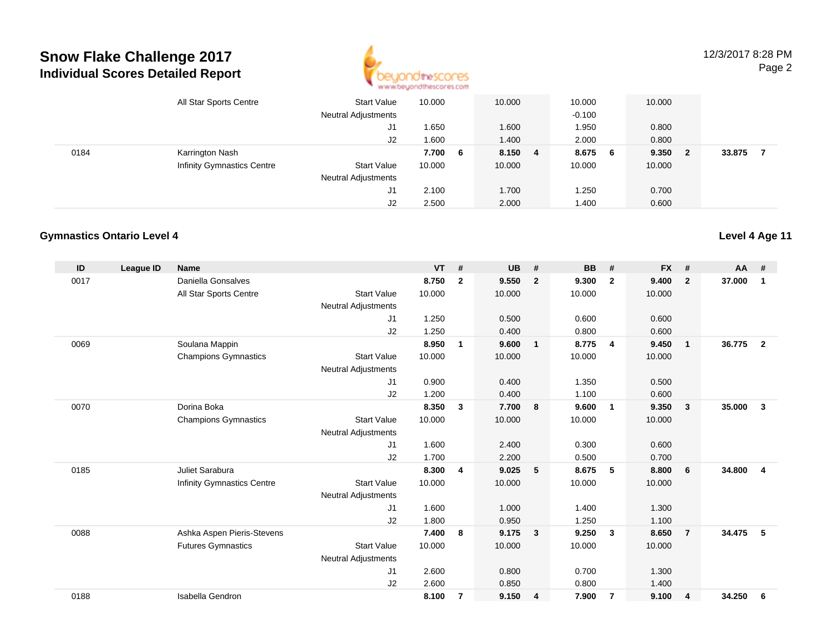

12/3/2017 8:28 PMPage 2

|      | All Star Sports Centre            | Start Value<br><b>Neutral Adjustments</b> | 10.000 |    | 10.000  | 10.000<br>$-0.100$ |     | 10.000 |    |        |  |
|------|-----------------------------------|-------------------------------------------|--------|----|---------|--------------------|-----|--------|----|--------|--|
|      |                                   |                                           |        |    |         |                    |     |        |    |        |  |
|      |                                   | J1                                        | 1.650  |    | 1.600   | 1.950              |     | 0.800  |    |        |  |
|      |                                   | J2                                        | 1.600  |    | 1.400   | 2.000              |     | 0.800  |    |        |  |
| 0184 | Karrington Nash                   |                                           | 7.700  | -6 | 8.150 4 | 8.675              | - 6 | 9.350  | -2 | 33.875 |  |
|      | <b>Infinity Gymnastics Centre</b> | <b>Start Value</b>                        | 10.000 |    | 10.000  | 10.000             |     | 10.000 |    |        |  |
|      |                                   | <b>Neutral Adjustments</b>                |        |    |         |                    |     |        |    |        |  |
|      |                                   | J1                                        | 2.100  |    | 1.700   | 1.250              |     | 0.700  |    |        |  |
|      |                                   | J2                                        | 2.500  |    | 2.000   | 1.400              |     | 0.600  |    |        |  |

#### **Gymnastics Ontario Level 4**

| ID   | <b>League ID</b> | <b>Name</b>                       |                            | <b>VT</b> | #            | <b>UB</b> | #                       | <b>BB</b> | #                       | <b>FX</b> | #                       | <b>AA</b> | #              |
|------|------------------|-----------------------------------|----------------------------|-----------|--------------|-----------|-------------------------|-----------|-------------------------|-----------|-------------------------|-----------|----------------|
| 0017 |                  | Daniella Gonsalves                |                            | 8.750     | $\mathbf{2}$ | 9.550     | $\overline{2}$          | 9.300     | $\overline{2}$          | 9.400     | $\overline{2}$          | 37.000    | 1              |
|      |                  | All Star Sports Centre            | <b>Start Value</b>         | 10.000    |              | 10.000    |                         | 10.000    |                         | 10.000    |                         |           |                |
|      |                  |                                   | <b>Neutral Adjustments</b> |           |              |           |                         |           |                         |           |                         |           |                |
|      |                  |                                   | J1                         | 1.250     |              | 0.500     |                         | 0.600     |                         | 0.600     |                         |           |                |
|      |                  |                                   | J2                         | 1.250     |              | 0.400     |                         | 0.800     |                         | 0.600     |                         |           |                |
| 0069 |                  | Soulana Mappin                    |                            | 8.950     | $\mathbf 1$  | 9.600     | $\overline{1}$          | 8.775     | -4                      | 9.450     | $\mathbf{1}$            | 36.775    | $\overline{2}$ |
|      |                  | <b>Champions Gymnastics</b>       | <b>Start Value</b>         | 10.000    |              | 10.000    |                         | 10.000    |                         | 10.000    |                         |           |                |
|      |                  |                                   | <b>Neutral Adjustments</b> |           |              |           |                         |           |                         |           |                         |           |                |
|      |                  |                                   | J1                         | 0.900     |              | 0.400     |                         | 1.350     |                         | 0.500     |                         |           |                |
|      |                  |                                   | J2                         | 1.200     |              | 0.400     |                         | 1.100     |                         | 0.600     |                         |           |                |
| 0070 |                  | Dorina Boka                       |                            | 8.350     | 3            | 7.700     | - 8                     | 9.600     | -1                      | 9.350     | 3                       | 35.000    | $\mathbf{3}$   |
|      |                  | <b>Champions Gymnastics</b>       | <b>Start Value</b>         | 10.000    |              | 10.000    |                         | 10.000    |                         | 10.000    |                         |           |                |
|      |                  |                                   | <b>Neutral Adjustments</b> |           |              |           |                         |           |                         |           |                         |           |                |
|      |                  |                                   | J1                         | 1.600     |              | 2.400     |                         | 0.300     |                         | 0.600     |                         |           |                |
|      |                  |                                   | J <sub>2</sub>             | 1.700     |              | 2.200     |                         | 0.500     |                         | 0.700     |                         |           |                |
| 0185 |                  | Juliet Sarabura                   |                            | 8.300     | 4            | 9.025     | 5                       | 8.675     | 5                       | 8.800     | 6                       | 34.800    | $\overline{4}$ |
|      |                  | <b>Infinity Gymnastics Centre</b> | <b>Start Value</b>         | 10.000    |              | 10.000    |                         | 10.000    |                         | 10.000    |                         |           |                |
|      |                  |                                   | <b>Neutral Adjustments</b> |           |              |           |                         |           |                         |           |                         |           |                |
|      |                  |                                   | J1                         | 1.600     |              | 1.000     |                         | 1.400     |                         | 1.300     |                         |           |                |
|      |                  |                                   | J2                         | 1.800     |              | 0.950     |                         | 1.250     |                         | 1.100     |                         |           |                |
| 0088 |                  | Ashka Aspen Pieris-Stevens        |                            | 7.400     | 8            | 9.175     | $\overline{\mathbf{3}}$ | 9.250     | $\overline{\mathbf{3}}$ | 8.650     | $\overline{7}$          | 34.475    | 5              |
|      |                  | <b>Futures Gymnastics</b>         | <b>Start Value</b>         | 10.000    |              | 10.000    |                         | 10.000    |                         | 10.000    |                         |           |                |
|      |                  |                                   | <b>Neutral Adjustments</b> |           |              |           |                         |           |                         |           |                         |           |                |
|      |                  |                                   | J <sub>1</sub>             | 2.600     |              | 0.800     |                         | 0.700     |                         | 1.300     |                         |           |                |
|      |                  |                                   | J <sub>2</sub>             | 2.600     |              | 0.850     |                         | 0.800     |                         | 1.400     |                         |           |                |
| 0188 |                  | Isabella Gendron                  |                            | 8.100     | 7            | 9.150     | $\overline{4}$          | 7.900     | 7                       | 9.100     | $\overline{\mathbf{4}}$ | 34.250    | 6              |
|      |                  |                                   |                            |           |              |           |                         |           |                         |           |                         |           |                |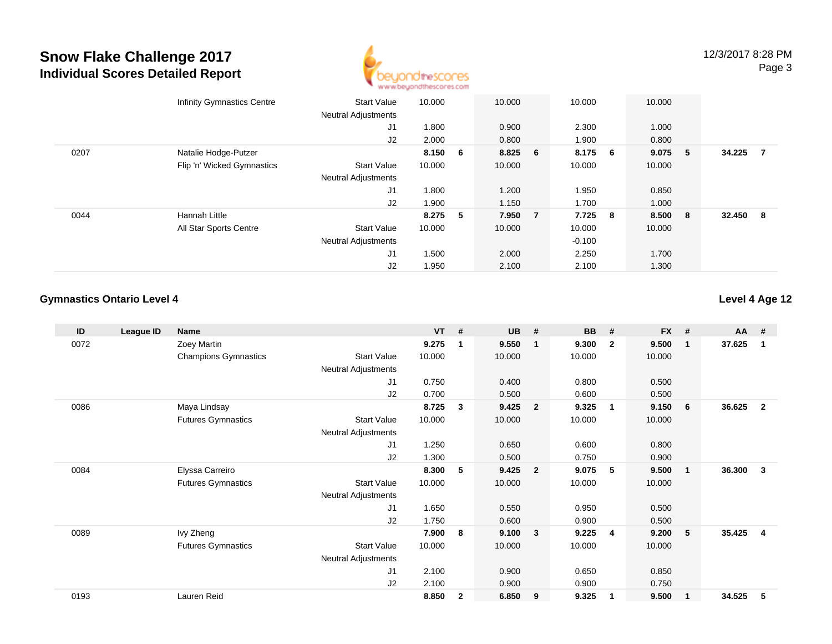

|      | <b>Infinity Gymnastics Centre</b> | <b>Start Value</b>                           | 10.000  |    | 10.000  |                | 10.000   |   | 10.000  |     |        |                |
|------|-----------------------------------|----------------------------------------------|---------|----|---------|----------------|----------|---|---------|-----|--------|----------------|
|      |                                   | <b>Neutral Adjustments</b><br>J <sub>1</sub> | 1.800   |    | 0.900   |                | 2.300    |   | 1.000   |     |        |                |
|      |                                   | J2                                           | 2.000   |    | 0.800   |                | 1.900    |   | 0.800   |     |        |                |
| 0207 | Natalie Hodge-Putzer              |                                              | 8.150 6 |    | 8.825 6 |                | 8.175 6  |   | 9.075   | - 5 | 34.225 | $\overline{7}$ |
|      | Flip 'n' Wicked Gymnastics        | <b>Start Value</b>                           | 10.000  |    | 10.000  |                | 10.000   |   | 10.000  |     |        |                |
|      |                                   | <b>Neutral Adjustments</b>                   |         |    |         |                |          |   |         |     |        |                |
|      |                                   | J1                                           | 1.800   |    | 1.200   |                | 1.950    |   | 0.850   |     |        |                |
|      |                                   | J2                                           | 1.900   |    | 1.150   |                | 1.700    |   | 1.000   |     |        |                |
| 0044 | Hannah Little                     |                                              | 8.275   | -5 | 7.950   | $\overline{7}$ | 7.725    | 8 | 8.500 8 |     | 32.450 | - 8            |
|      | All Star Sports Centre            | <b>Start Value</b>                           | 10.000  |    | 10.000  |                | 10.000   |   | 10.000  |     |        |                |
|      |                                   | <b>Neutral Adjustments</b>                   |         |    |         |                | $-0.100$ |   |         |     |        |                |
|      |                                   | J <sub>1</sub>                               | 1.500   |    | 2.000   |                | 2.250    |   | 1.700   |     |        |                |
|      |                                   | J2                                           | 1.950   |    | 2.100   |                | 2.100    |   | 1.300   |     |        |                |

### **Gymnastics Ontario Level 4**

| ID   | League ID | <b>Name</b>                 |                            | $VT$ # |              | <b>UB</b> | #              | <b>BB</b> | #                       | <b>FX</b> | #                       | <b>AA</b> | #                       |
|------|-----------|-----------------------------|----------------------------|--------|--------------|-----------|----------------|-----------|-------------------------|-----------|-------------------------|-----------|-------------------------|
| 0072 |           | Zoey Martin                 |                            | 9.275  | -1           | 9.550     | $\mathbf 1$    | 9.300     | $\overline{2}$          | 9.500     | -1                      | 37.625    | 1                       |
|      |           | <b>Champions Gymnastics</b> | <b>Start Value</b>         | 10.000 |              | 10.000    |                | 10.000    |                         | 10.000    |                         |           |                         |
|      |           |                             | <b>Neutral Adjustments</b> |        |              |           |                |           |                         |           |                         |           |                         |
|      |           |                             | J1                         | 0.750  |              | 0.400     |                | 0.800     |                         | 0.500     |                         |           |                         |
|      |           |                             | J <sub>2</sub>             | 0.700  |              | 0.500     |                | 0.600     |                         | 0.500     |                         |           |                         |
| 0086 |           | Maya Lindsay                |                            | 8.725  | 3            | 9.425     | $\overline{2}$ | 9.325     | $\overline{\mathbf{1}}$ | 9.150     | 6                       | 36.625    | $\mathbf{2}$            |
|      |           | <b>Futures Gymnastics</b>   | <b>Start Value</b>         | 10.000 |              | 10.000    |                | 10.000    |                         | 10.000    |                         |           |                         |
|      |           |                             | Neutral Adjustments        |        |              |           |                |           |                         |           |                         |           |                         |
|      |           |                             | J1                         | 1.250  |              | 0.650     |                | 0.600     |                         | 0.800     |                         |           |                         |
|      |           |                             | J2                         | 1.300  |              | 0.500     |                | 0.750     |                         | 0.900     |                         |           |                         |
| 0084 |           | Elyssa Carreiro             |                            | 8.300  | 5            | 9.425     | $\overline{2}$ | 9.075     | -5                      | 9.500     | $\overline{\mathbf{1}}$ | 36.300    | 3                       |
|      |           | <b>Futures Gymnastics</b>   | <b>Start Value</b>         | 10.000 |              | 10.000    |                | 10.000    |                         | 10.000    |                         |           |                         |
|      |           |                             | Neutral Adjustments        |        |              |           |                |           |                         |           |                         |           |                         |
|      |           |                             | J1                         | 1.650  |              | 0.550     |                | 0.950     |                         | 0.500     |                         |           |                         |
|      |           |                             | J <sub>2</sub>             | 1.750  |              | 0.600     |                | 0.900     |                         | 0.500     |                         |           |                         |
| 0089 |           | Ivy Zheng                   |                            | 7.900  | 8            | 9.100     | $\mathbf{3}$   | 9.225     | 4                       | 9.200     | 5                       | 35.425    | $\overline{\mathbf{4}}$ |
|      |           | <b>Futures Gymnastics</b>   | <b>Start Value</b>         | 10.000 |              | 10.000    |                | 10.000    |                         | 10.000    |                         |           |                         |
|      |           |                             | <b>Neutral Adjustments</b> |        |              |           |                |           |                         |           |                         |           |                         |
|      |           |                             | J <sub>1</sub>             | 2.100  |              | 0.900     |                | 0.650     |                         | 0.850     |                         |           |                         |
|      |           |                             | J2                         | 2.100  |              | 0.900     |                | 0.900     |                         | 0.750     |                         |           |                         |
| 0193 |           | Lauren Reid                 |                            | 8.850  | $\mathbf{2}$ | 6.850     | 9              | 9.325     | -1                      | 9.500     | $\mathbf 1$             | 34.525    | 5                       |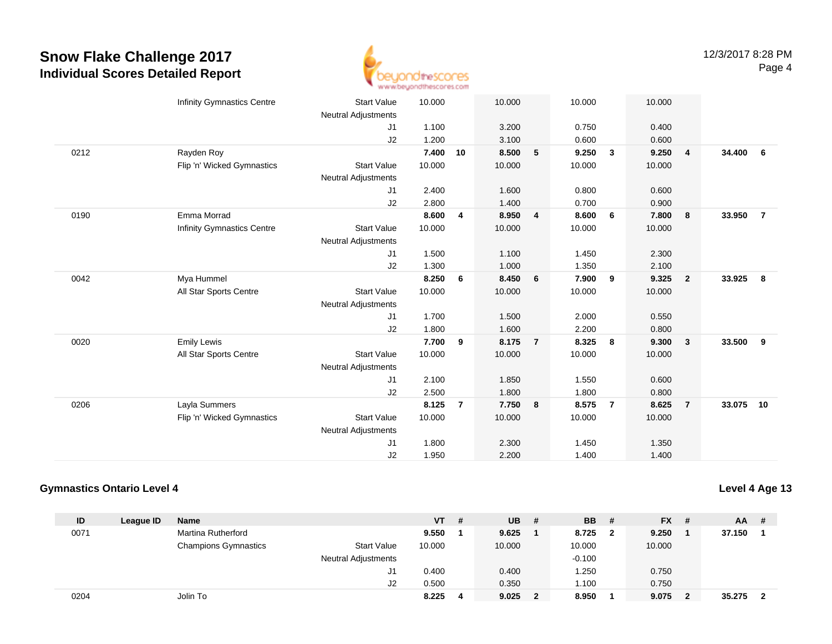

|      | <b>Infinity Gymnastics Centre</b> | <b>Start Value</b><br><b>Neutral Adjustments</b> | 10.000 |                | 10.000 |                 | 10.000 |                | 10.000 |                |           |                |
|------|-----------------------------------|--------------------------------------------------|--------|----------------|--------|-----------------|--------|----------------|--------|----------------|-----------|----------------|
|      |                                   | J1                                               | 1.100  |                | 3.200  |                 | 0.750  |                | 0.400  |                |           |                |
|      |                                   | J2                                               | 1.200  |                | 3.100  |                 | 0.600  |                | 0.600  |                |           |                |
| 0212 | Rayden Roy                        |                                                  | 7.400  | 10             | 8.500  | 5               | 9.250  | $\mathbf{3}$   | 9.250  | $\overline{4}$ | 34.400    | - 6            |
|      | Flip 'n' Wicked Gymnastics        | <b>Start Value</b>                               | 10.000 |                | 10.000 |                 | 10.000 |                | 10.000 |                |           |                |
|      |                                   | <b>Neutral Adjustments</b>                       |        |                |        |                 |        |                |        |                |           |                |
|      |                                   | J1                                               | 2.400  |                | 1.600  |                 | 0.800  |                | 0.600  |                |           |                |
|      |                                   | J2                                               | 2.800  |                | 1.400  |                 | 0.700  |                | 0.900  |                |           |                |
| 0190 | Emma Morrad                       |                                                  | 8.600  | 4              | 8.950  | $\overline{4}$  | 8.600  | 6              | 7.800  | 8              | 33.950    | $\overline{7}$ |
|      | <b>Infinity Gymnastics Centre</b> | <b>Start Value</b>                               | 10.000 |                | 10.000 |                 | 10.000 |                | 10.000 |                |           |                |
|      |                                   | <b>Neutral Adjustments</b>                       |        |                |        |                 |        |                |        |                |           |                |
|      |                                   | J1                                               | 1.500  |                | 1.100  |                 | 1.450  |                | 2.300  |                |           |                |
|      |                                   | J2                                               | 1.300  |                | 1.000  |                 | 1.350  |                | 2.100  |                |           |                |
| 0042 | Mya Hummel                        |                                                  | 8.250  | 6              | 8.450  | $6\overline{6}$ | 7.900  | 9              | 9.325  | $\overline{2}$ | 33.925    | 8              |
|      | All Star Sports Centre            | <b>Start Value</b>                               | 10.000 |                | 10.000 |                 | 10.000 |                | 10.000 |                |           |                |
|      |                                   | <b>Neutral Adjustments</b>                       |        |                |        |                 |        |                |        |                |           |                |
|      |                                   | J1                                               | 1.700  |                | 1.500  |                 | 2.000  |                | 0.550  |                |           |                |
|      |                                   | J2                                               | 1.800  |                | 1.600  |                 | 2.200  |                | 0.800  |                |           |                |
| 0020 | <b>Emily Lewis</b>                |                                                  | 7.700  | 9              | 8.175  | $\overline{7}$  | 8.325  | 8              | 9.300  | $\mathbf{3}$   | 33.500    | 9              |
|      | All Star Sports Centre            | <b>Start Value</b>                               | 10.000 |                | 10.000 |                 | 10.000 |                | 10.000 |                |           |                |
|      |                                   | Neutral Adjustments                              |        |                |        |                 |        |                |        |                |           |                |
|      |                                   | J1                                               | 2.100  |                | 1.850  |                 | 1.550  |                | 0.600  |                |           |                |
|      |                                   | J2                                               | 2.500  |                | 1.800  |                 | 1.800  |                | 0.800  |                |           |                |
| 0206 | Layla Summers                     |                                                  | 8.125  | $\overline{7}$ | 7.750  | 8               | 8.575  | $\overline{7}$ | 8.625  | $\overline{7}$ | 33.075 10 |                |
|      | Flip 'n' Wicked Gymnastics        | <b>Start Value</b>                               | 10.000 |                | 10.000 |                 | 10.000 |                | 10.000 |                |           |                |
|      |                                   | <b>Neutral Adjustments</b>                       |        |                |        |                 |        |                |        |                |           |                |
|      |                                   | J <sub>1</sub>                                   | 1.800  |                | 2.300  |                 | 1.450  |                | 1.350  |                |           |                |
|      |                                   | J <sub>2</sub>                                   | 1.950  |                | 2.200  |                 | 1.400  |                | 1.400  |                |           |                |

#### **Gymnastics Ontario Level 4**

| ID   | League ID | <b>Name</b>                 |                            | <b>VT</b> | # | <b>UB</b> | # | <b>BB</b> |   | <b>FX</b> | - # | <b>AA</b> | -# |
|------|-----------|-----------------------------|----------------------------|-----------|---|-----------|---|-----------|---|-----------|-----|-----------|----|
| 0071 |           | <b>Martina Rutherford</b>   |                            | 9.550     |   | 9.625     |   | 8.725     | 2 | 9.250     |     | 37.150    |    |
|      |           | <b>Champions Gymnastics</b> | <b>Start Value</b>         | 10.000    |   | 10.000    |   | 10.000    |   | 10.000    |     |           |    |
|      |           |                             | <b>Neutral Adjustments</b> |           |   |           |   | $-0.100$  |   |           |     |           |    |
|      |           |                             | J1                         | 0.400     |   | 0.400     |   | .250      |   | 0.750     |     |           |    |
|      |           |                             | J2                         | 0.500     |   | 0.350     |   | 1.100     |   | 0.750     |     |           |    |
| 0204 |           | Jolin To                    |                            | 8.225     | 4 | 9.025     |   | 8.950     |   | 9.075     |     | 35.275    |    |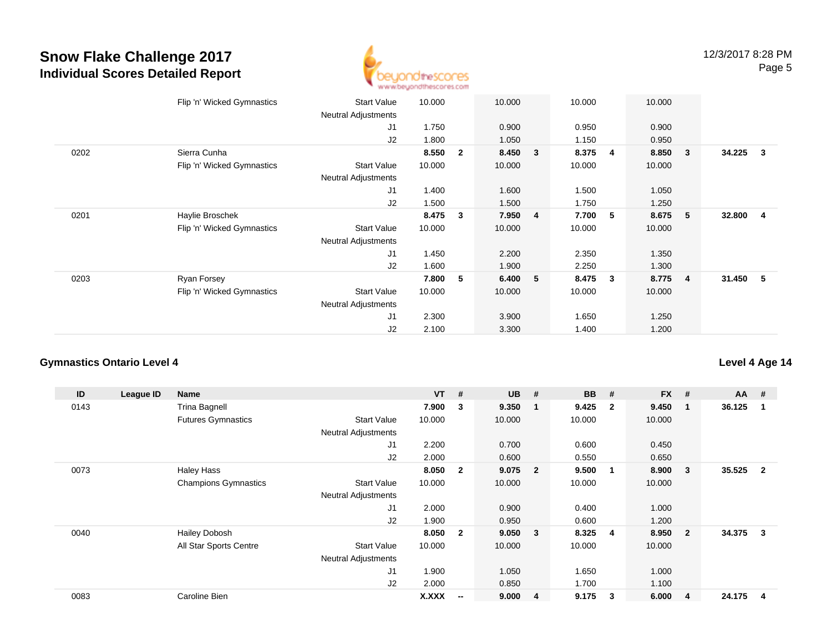

|      | Flip 'n' Wicked Gymnastics | <b>Start Value</b><br><b>Neutral Adjustments</b> | 10.000 |              | 10.000 |                | 10.000 |   | 10.000 |                         |          |                         |
|------|----------------------------|--------------------------------------------------|--------|--------------|--------|----------------|--------|---|--------|-------------------------|----------|-------------------------|
|      |                            | J1                                               | 1.750  |              | 0.900  |                | 0.950  |   | 0.900  |                         |          |                         |
|      |                            | J2                                               | 1.800  |              | 1.050  |                | 1.150  |   | 0.950  |                         |          |                         |
| 0202 | Sierra Cunha               |                                                  | 8.550  | $\mathbf{2}$ | 8.450  | 3              | 8.375  | 4 | 8.850  | $\overline{\mathbf{3}}$ | 34.225   | $\overline{\mathbf{3}}$ |
|      | Flip 'n' Wicked Gymnastics | Start Value<br><b>Neutral Adjustments</b>        | 10.000 |              | 10.000 |                | 10.000 |   | 10.000 |                         |          |                         |
|      |                            | J1                                               | 1.400  |              | 1.600  |                | 1.500  |   | 1.050  |                         |          |                         |
|      |                            | J2                                               | 1.500  |              | 1.500  |                | 1.750  |   | 1.250  |                         |          |                         |
| 0201 | Haylie Broschek            |                                                  | 8.475  | 3            | 7.950  | $\overline{4}$ | 7.700  | 5 | 8.675  | - 5                     | 32.800   | $\overline{\mathbf{4}}$ |
|      | Flip 'n' Wicked Gymnastics | <b>Start Value</b>                               | 10.000 |              | 10.000 |                | 10.000 |   | 10.000 |                         |          |                         |
|      |                            | <b>Neutral Adjustments</b>                       |        |              |        |                |        |   |        |                         |          |                         |
|      |                            | J1                                               | 1.450  |              | 2.200  |                | 2.350  |   | 1.350  |                         |          |                         |
|      |                            | J2                                               | 1.600  |              | 1.900  |                | 2.250  |   | 1.300  |                         |          |                         |
| 0203 | Ryan Forsey                |                                                  | 7.800  | 5            | 6.400  | 5              | 8.475  | 3 | 8.775  | $\overline{4}$          | 31.450 5 |                         |
|      | Flip 'n' Wicked Gymnastics | <b>Start Value</b>                               | 10.000 |              | 10.000 |                | 10.000 |   | 10.000 |                         |          |                         |
|      |                            | <b>Neutral Adjustments</b>                       |        |              |        |                |        |   |        |                         |          |                         |
|      |                            | J <sub>1</sub>                                   | 2.300  |              | 3.900  |                | 1.650  |   | 1.250  |                         |          |                         |
|      |                            | J2                                               | 2.100  |              | 3.300  |                | 1.400  |   | 1.200  |                         |          |                         |

### **Gymnastics Ontario Level 4**

| ID   | League ID | Name                        |                            | <b>VT</b> | #                        | <b>UB</b> | #                       | <b>BB</b> | #              | <b>FX</b> | #              | $AA$ # |                         |
|------|-----------|-----------------------------|----------------------------|-----------|--------------------------|-----------|-------------------------|-----------|----------------|-----------|----------------|--------|-------------------------|
| 0143 |           | <b>Trina Bagnell</b>        |                            | 7.900     | 3                        | 9.350     | - 1                     | 9.425     | $\overline{2}$ | 9.450     | 1              | 36.125 | 1                       |
|      |           | <b>Futures Gymnastics</b>   | <b>Start Value</b>         | 10.000    |                          | 10.000    |                         | 10.000    |                | 10.000    |                |        |                         |
|      |           |                             | <b>Neutral Adjustments</b> |           |                          |           |                         |           |                |           |                |        |                         |
|      |           |                             | J <sub>1</sub>             | 2.200     |                          | 0.700     |                         | 0.600     |                | 0.450     |                |        |                         |
|      |           |                             | J2                         | 2.000     |                          | 0.600     |                         | 0.550     |                | 0.650     |                |        |                         |
| 0073 |           | <b>Haley Hass</b>           |                            | 8.050     | $\overline{\mathbf{2}}$  | 9.075     | $\overline{\mathbf{2}}$ | 9.500     | -1             | 8.900     | 3              | 35.525 | $\overline{\mathbf{2}}$ |
|      |           | <b>Champions Gymnastics</b> | <b>Start Value</b>         | 10.000    |                          | 10.000    |                         | 10.000    |                | 10.000    |                |        |                         |
|      |           |                             | <b>Neutral Adjustments</b> |           |                          |           |                         |           |                |           |                |        |                         |
|      |           |                             | J1                         | 2.000     |                          | 0.900     |                         | 0.400     |                | 1.000     |                |        |                         |
|      |           |                             | J2                         | 1.900     |                          | 0.950     |                         | 0.600     |                | 1.200     |                |        |                         |
| 0040 |           | <b>Hailey Dobosh</b>        |                            | 8.050     | $\overline{\mathbf{2}}$  | 9.050     | $\mathbf{3}$            | 8.325     | 4              | 8.950     | $\overline{2}$ | 34.375 | 3                       |
|      |           | All Star Sports Centre      | <b>Start Value</b>         | 10.000    |                          | 10.000    |                         | 10.000    |                | 10.000    |                |        |                         |
|      |           |                             | <b>Neutral Adjustments</b> |           |                          |           |                         |           |                |           |                |        |                         |
|      |           |                             | J <sub>1</sub>             | 1.900     |                          | 1.050     |                         | 1.650     |                | 1.000     |                |        |                         |
|      |           |                             | J2                         | 2.000     |                          | 0.850     |                         | 1.700     |                | 1.100     |                |        |                         |
| 0083 |           | Caroline Bien               |                            | X.XXX     | $\overline{\phantom{a}}$ | 9.000     | 4                       | 9.175     | 3              | 6.000     | 4              | 24.175 | 4                       |